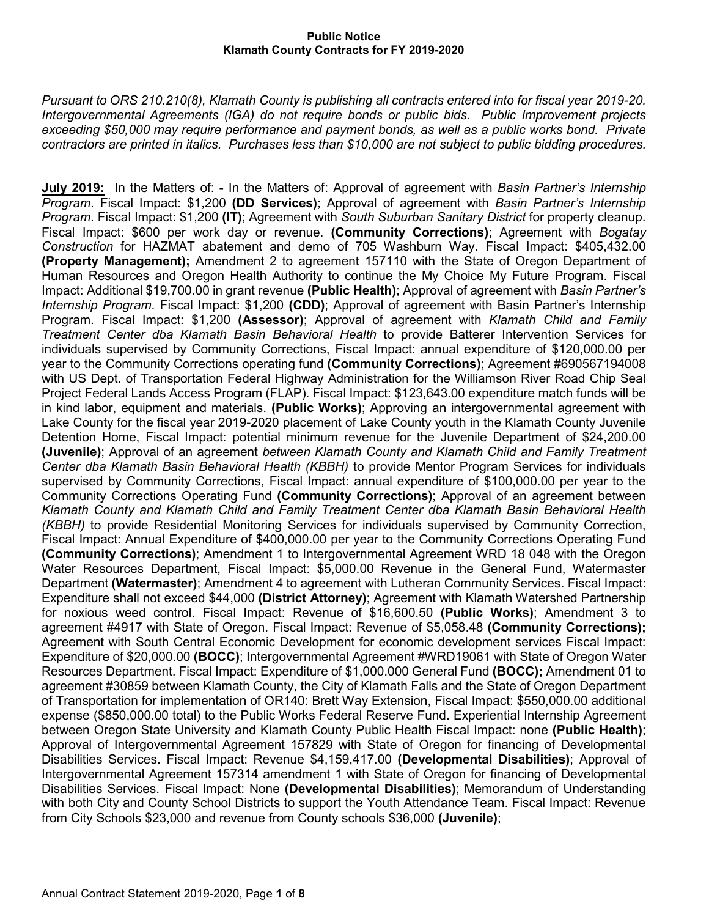*Pursuant to ORS 210.210(8), Klamath County is publishing all contracts entered into for fiscal year 2019-20. Intergovernmental Agreements (IGA) do not require bonds or public bids. Public Improvement projects exceeding \$50,000 may require performance and payment bonds, as well as a public works bond. Private contractors are printed in italics. Purchases less than \$10,000 are not subject to public bidding procedures.*

**July 2019:** In the Matters of: - In the Matters of: Approval of agreement with *Basin Partner's Internship Program*. Fiscal Impact: \$1,200 **(DD Services)**; Approval of agreement with *Basin Partner's Internship Program*. Fiscal Impact: \$1,200 **(IT)**; Agreement with *South Suburban Sanitary District* for property cleanup. Fiscal Impact: \$600 per work day or revenue. **(Community Corrections)**; Agreement with *Bogatay Construction* for HAZMAT abatement and demo of 705 Washburn Way. Fiscal Impact: \$405,432.00 **(Property Management);** Amendment 2 to agreement 157110 with the State of Oregon Department of Human Resources and Oregon Health Authority to continue the My Choice My Future Program. Fiscal Impact: Additional \$19,700.00 in grant revenue **(Public Health)**; Approval of agreement with *Basin Partner's Internship Program*. Fiscal Impact: \$1,200 **(CDD)**; Approval of agreement with Basin Partner's Internship Program. Fiscal Impact: \$1,200 **(Assessor)**; Approval of agreement with *Klamath Child and Family Treatment Center dba Klamath Basin Behavioral Health* to provide Batterer Intervention Services for individuals supervised by Community Corrections, Fiscal Impact: annual expenditure of \$120,000.00 per year to the Community Corrections operating fund **(Community Corrections)**; Agreement #690567194008 with US Dept. of Transportation Federal Highway Administration for the Williamson River Road Chip Seal Project Federal Lands Access Program (FLAP). Fiscal Impact: \$123,643.00 expenditure match funds will be in kind labor, equipment and materials. **(Public Works)**; Approving an intergovernmental agreement with Lake County for the fiscal year 2019-2020 placement of Lake County youth in the Klamath County Juvenile Detention Home, Fiscal Impact: potential minimum revenue for the Juvenile Department of \$24,200.00 **(Juvenile)**; Approval of an agreement *between Klamath County and Klamath Child and Family Treatment Center dba Klamath Basin Behavioral Health (KBBH)* to provide Mentor Program Services for individuals supervised by Community Corrections, Fiscal Impact: annual expenditure of \$100,000.00 per year to the Community Corrections Operating Fund **(Community Corrections)**; Approval of an agreement between *Klamath County and Klamath Child and Family Treatment Center dba Klamath Basin Behavioral Health (KBBH)* to provide Residential Monitoring Services for individuals supervised by Community Correction, Fiscal Impact: Annual Expenditure of \$400,000.00 per year to the Community Corrections Operating Fund **(Community Corrections)**; Amendment 1 to Intergovernmental Agreement WRD 18 048 with the Oregon Water Resources Department, Fiscal Impact: \$5,000.00 Revenue in the General Fund, Watermaster Department **(Watermaster)**; Amendment 4 to agreement with Lutheran Community Services. Fiscal Impact: Expenditure shall not exceed \$44,000 **(District Attorney)**; Agreement with Klamath Watershed Partnership for noxious weed control. Fiscal Impact: Revenue of \$16,600.50 **(Public Works)**; Amendment 3 to agreement #4917 with State of Oregon. Fiscal Impact: Revenue of \$5,058.48 **(Community Corrections);**  Agreement with South Central Economic Development for economic development services Fiscal Impact: Expenditure of \$20,000.00 **(BOCC)**; Intergovernmental Agreement #WRD19061 with State of Oregon Water Resources Department. Fiscal Impact: Expenditure of \$1,000.000 General Fund **(BOCC);** Amendment 01 to agreement #30859 between Klamath County, the City of Klamath Falls and the State of Oregon Department of Transportation for implementation of OR140: Brett Way Extension, Fiscal Impact: \$550,000.00 additional expense (\$850,000.00 total) to the Public Works Federal Reserve Fund. Experiential Internship Agreement between Oregon State University and Klamath County Public Health Fiscal Impact: none **(Public Health)**; Approval of Intergovernmental Agreement 157829 with State of Oregon for financing of Developmental Disabilities Services. Fiscal Impact: Revenue \$4,159,417.00 **(Developmental Disabilities)**; Approval of Intergovernmental Agreement 157314 amendment 1 with State of Oregon for financing of Developmental Disabilities Services. Fiscal Impact: None **(Developmental Disabilities)**; Memorandum of Understanding with both City and County School Districts to support the Youth Attendance Team. Fiscal Impact: Revenue from City Schools \$23,000 and revenue from County schools \$36,000 **(Juvenile)**;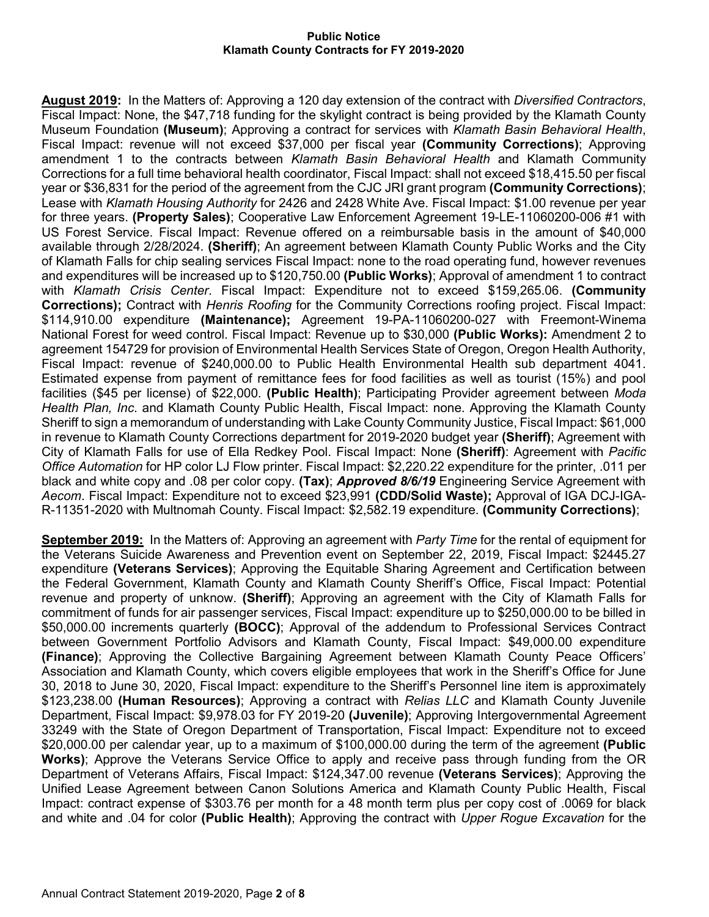**August 2019:** In the Matters of: Approving a 120 day extension of the contract with *Diversified Contractors*, Fiscal Impact: None, the \$47,718 funding for the skylight contract is being provided by the Klamath County Museum Foundation **(Museum)**; Approving a contract for services with *Klamath Basin Behavioral Health*, Fiscal Impact: revenue will not exceed \$37,000 per fiscal year **(Community Corrections)**; Approving amendment 1 to the contracts between *Klamath Basin Behavioral Health* and Klamath Community Corrections for a full time behavioral health coordinator, Fiscal Impact: shall not exceed \$18,415.50 per fiscal year or \$36,831 for the period of the agreement from the CJC JRI grant program **(Community Corrections)**; Lease with *Klamath Housing Authority* for 2426 and 2428 White Ave. Fiscal Impact: \$1.00 revenue per year for three years. **(Property Sales)**; Cooperative Law Enforcement Agreement 19-LE-11060200-006 #1 with US Forest Service. Fiscal Impact: Revenue offered on a reimbursable basis in the amount of \$40,000 available through 2/28/2024. **(Sheriff)**; An agreement between Klamath County Public Works and the City of Klamath Falls for chip sealing services Fiscal Impact: none to the road operating fund, however revenues and expenditures will be increased up to \$120,750.00 **(Public Works)**; Approval of amendment 1 to contract with *Klamath Crisis Center*. Fiscal Impact: Expenditure not to exceed \$159,265.06. **(Community Corrections);** Contract with *Henris Roofing* for the Community Corrections roofing project. Fiscal Impact: \$114,910.00 expenditure **(Maintenance);** Agreement 19-PA-11060200-027 with Freemont-Winema National Forest for weed control. Fiscal Impact: Revenue up to \$30,000 **(Public Works):** Amendment 2 to agreement 154729 for provision of Environmental Health Services State of Oregon, Oregon Health Authority, Fiscal Impact: revenue of \$240,000.00 to Public Health Environmental Health sub department 4041. Estimated expense from payment of remittance fees for food facilities as well as tourist (15%) and pool facilities (\$45 per license) of \$22,000. **(Public Health)**; Participating Provider agreement between *Moda Health Plan, Inc*. and Klamath County Public Health, Fiscal Impact: none. Approving the Klamath County Sheriff to sign a memorandum of understanding with Lake County Community Justice, Fiscal Impact: \$61,000 in revenue to Klamath County Corrections department for 2019-2020 budget year **(Sheriff)**; Agreement with City of Klamath Falls for use of Ella Redkey Pool. Fiscal Impact: None **(Sheriff)**: Agreement with *Pacific Office Automation* for HP color LJ Flow printer. Fiscal Impact: \$2,220.22 expenditure for the printer, .011 per black and white copy and .08 per color copy. **(Tax)**; *Approved 8/6/19* Engineering Service Agreement with *Aecom*. Fiscal Impact: Expenditure not to exceed \$23,991 **(CDD/Solid Waste);** Approval of IGA DCJ-IGA-R-11351-2020 with Multnomah County. Fiscal Impact: \$2,582.19 expenditure. **(Community Corrections)**;

**September 2019:** In the Matters of: Approving an agreement with *Party Time* for the rental of equipment for the Veterans Suicide Awareness and Prevention event on September 22, 2019, Fiscal Impact: \$2445.27 expenditure **(Veterans Services)**; Approving the Equitable Sharing Agreement and Certification between the Federal Government, Klamath County and Klamath County Sheriff's Office, Fiscal Impact: Potential revenue and property of unknow. **(Sheriff)**; Approving an agreement with the City of Klamath Falls for commitment of funds for air passenger services, Fiscal Impact: expenditure up to \$250,000.00 to be billed in \$50,000.00 increments quarterly **(BOCC)**; Approval of the addendum to Professional Services Contract between Government Portfolio Advisors and Klamath County, Fiscal Impact: \$49,000.00 expenditure **(Finance)**; Approving the Collective Bargaining Agreement between Klamath County Peace Officers' Association and Klamath County, which covers eligible employees that work in the Sheriff's Office for June 30, 2018 to June 30, 2020, Fiscal Impact: expenditure to the Sheriff's Personnel line item is approximately \$123,238.00 **(Human Resources)**; Approving a contract with *Relias LLC* and Klamath County Juvenile Department, Fiscal Impact: \$9,978.03 for FY 2019-20 **(Juvenile)**; Approving Intergovernmental Agreement 33249 with the State of Oregon Department of Transportation, Fiscal Impact: Expenditure not to exceed \$20,000.00 per calendar year, up to a maximum of \$100,000.00 during the term of the agreement **(Public Works)**; Approve the Veterans Service Office to apply and receive pass through funding from the OR Department of Veterans Affairs, Fiscal Impact: \$124,347.00 revenue **(Veterans Services)**; Approving the Unified Lease Agreement between Canon Solutions America and Klamath County Public Health, Fiscal Impact: contract expense of \$303.76 per month for a 48 month term plus per copy cost of .0069 for black and white and .04 for color **(Public Health)**; Approving the contract with *Upper Rogue Excavation* for the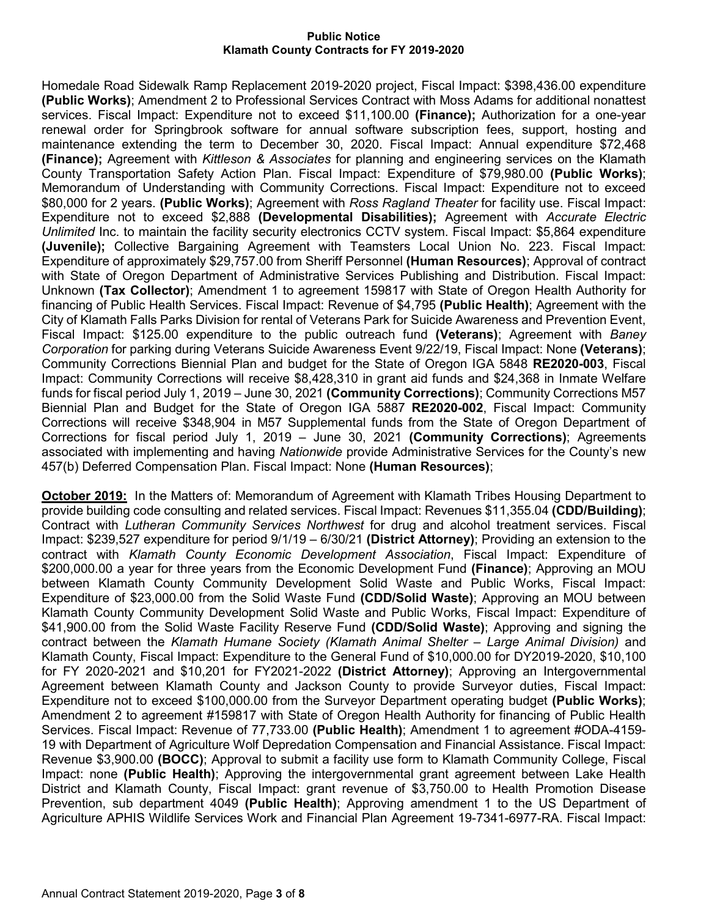Homedale Road Sidewalk Ramp Replacement 2019-2020 project, Fiscal Impact: \$398,436.00 expenditure **(Public Works)**; Amendment 2 to Professional Services Contract with Moss Adams for additional nonattest services. Fiscal Impact: Expenditure not to exceed \$11,100.00 **(Finance);** Authorization for a one-year renewal order for Springbrook software for annual software subscription fees, support, hosting and maintenance extending the term to December 30, 2020. Fiscal Impact: Annual expenditure \$72,468 **(Finance);** Agreement with *Kittleson & Associates* for planning and engineering services on the Klamath County Transportation Safety Action Plan. Fiscal Impact: Expenditure of \$79,980.00 **(Public Works)**; Memorandum of Understanding with Community Corrections. Fiscal Impact: Expenditure not to exceed \$80,000 for 2 years. **(Public Works)**; Agreement with *Ross Ragland Theater* for facility use. Fiscal Impact: Expenditure not to exceed \$2,888 **(Developmental Disabilities);** Agreement with *Accurate Electric Unlimited* Inc. to maintain the facility security electronics CCTV system. Fiscal Impact: \$5,864 expenditure **(Juvenile);** Collective Bargaining Agreement with Teamsters Local Union No. 223. Fiscal Impact: Expenditure of approximately \$29,757.00 from Sheriff Personnel **(Human Resources)**; Approval of contract with State of Oregon Department of Administrative Services Publishing and Distribution. Fiscal Impact: Unknown **(Tax Collector)**; Amendment 1 to agreement 159817 with State of Oregon Health Authority for financing of Public Health Services. Fiscal Impact: Revenue of \$4,795 **(Public Health)**; Agreement with the City of Klamath Falls Parks Division for rental of Veterans Park for Suicide Awareness and Prevention Event, Fiscal Impact: \$125.00 expenditure to the public outreach fund **(Veterans)**; Agreement with *Baney Corporation* for parking during Veterans Suicide Awareness Event 9/22/19, Fiscal Impact: None **(Veterans)**; Community Corrections Biennial Plan and budget for the State of Oregon IGA 5848 **RE2020-003**, Fiscal Impact: Community Corrections will receive \$8,428,310 in grant aid funds and \$24,368 in Inmate Welfare funds for fiscal period July 1, 2019 – June 30, 2021 **(Community Corrections)**; Community Corrections M57 Biennial Plan and Budget for the State of Oregon IGA 5887 **RE2020-002**, Fiscal Impact: Community Corrections will receive \$348,904 in M57 Supplemental funds from the State of Oregon Department of Corrections for fiscal period July 1, 2019 – June 30, 2021 **(Community Corrections)**; Agreements associated with implementing and having *Nationwide* provide Administrative Services for the County's new 457(b) Deferred Compensation Plan. Fiscal Impact: None **(Human Resources)**;

**October 2019:** In the Matters of: Memorandum of Agreement with Klamath Tribes Housing Department to provide building code consulting and related services. Fiscal Impact: Revenues \$11,355.04 **(CDD/Building)**; Contract with *Lutheran Community Services Northwest* for drug and alcohol treatment services. Fiscal Impact: \$239,527 expenditure for period 9/1/19 – 6/30/21 **(District Attorney)**; Providing an extension to the contract with *Klamath County Economic Development Association*, Fiscal Impact: Expenditure of \$200,000.00 a year for three years from the Economic Development Fund **(Finance)**; Approving an MOU between Klamath County Community Development Solid Waste and Public Works, Fiscal Impact: Expenditure of \$23,000.00 from the Solid Waste Fund **(CDD/Solid Waste)**; Approving an MOU between Klamath County Community Development Solid Waste and Public Works, Fiscal Impact: Expenditure of \$41,900.00 from the Solid Waste Facility Reserve Fund **(CDD/Solid Waste)**; Approving and signing the contract between the *Klamath Humane Society (Klamath Animal Shelter – Large Animal Division)* and Klamath County, Fiscal Impact: Expenditure to the General Fund of \$10,000.00 for DY2019-2020, \$10,100 for FY 2020-2021 and \$10,201 for FY2021-2022 **(District Attorney)**; Approving an Intergovernmental Agreement between Klamath County and Jackson County to provide Surveyor duties, Fiscal Impact: Expenditure not to exceed \$100,000.00 from the Surveyor Department operating budget **(Public Works)**; Amendment 2 to agreement #159817 with State of Oregon Health Authority for financing of Public Health Services. Fiscal Impact: Revenue of 77,733.00 **(Public Health)**; Amendment 1 to agreement #ODA-4159- 19 with Department of Agriculture Wolf Depredation Compensation and Financial Assistance. Fiscal Impact: Revenue \$3,900.00 **(BOCC)**; Approval to submit a facility use form to Klamath Community College, Fiscal Impact: none **(Public Health)**; Approving the intergovernmental grant agreement between Lake Health District and Klamath County, Fiscal Impact: grant revenue of \$3,750.00 to Health Promotion Disease Prevention, sub department 4049 **(Public Health)**; Approving amendment 1 to the US Department of Agriculture APHIS Wildlife Services Work and Financial Plan Agreement 19-7341-6977-RA. Fiscal Impact: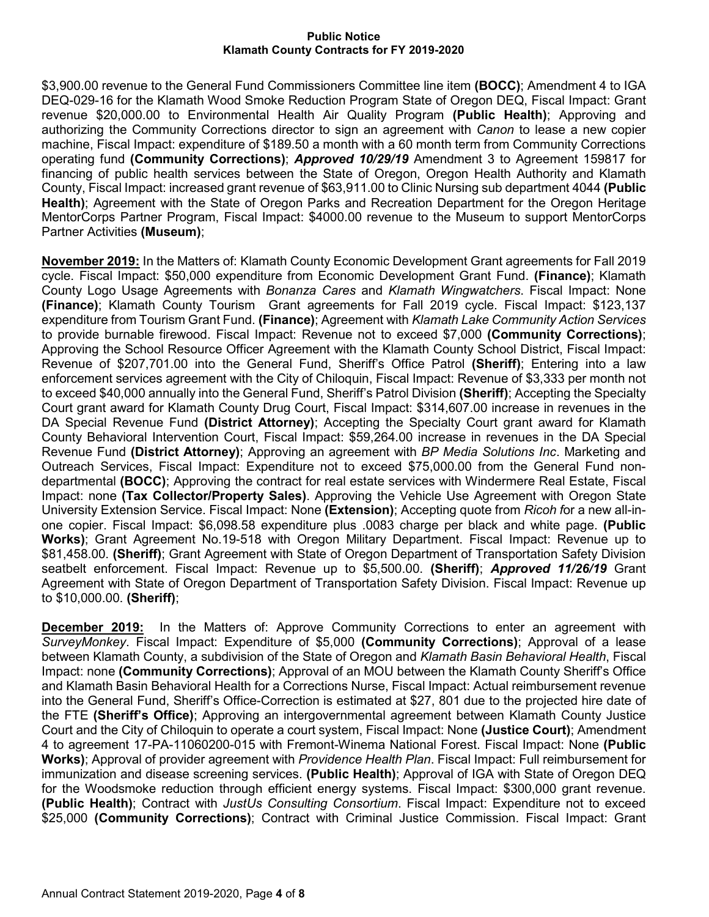\$3,900.00 revenue to the General Fund Commissioners Committee line item **(BOCC)**; Amendment 4 to IGA DEQ-029-16 for the Klamath Wood Smoke Reduction Program State of Oregon DEQ, Fiscal Impact: Grant revenue \$20,000.00 to Environmental Health Air Quality Program **(Public Health)**; Approving and authorizing the Community Corrections director to sign an agreement with *Canon* to lease a new copier machine, Fiscal Impact: expenditure of \$189.50 a month with a 60 month term from Community Corrections operating fund **(Community Corrections)**; *Approved 10/29/19* Amendment 3 to Agreement 159817 for financing of public health services between the State of Oregon, Oregon Health Authority and Klamath County, Fiscal Impact: increased grant revenue of \$63,911.00 to Clinic Nursing sub department 4044 **(Public Health)**; Agreement with the State of Oregon Parks and Recreation Department for the Oregon Heritage MentorCorps Partner Program, Fiscal Impact: \$4000.00 revenue to the Museum to support MentorCorps Partner Activities **(Museum)**;

**November 2019:** In the Matters of: Klamath County Economic Development Grant agreements for Fall 2019 cycle. Fiscal Impact: \$50,000 expenditure from Economic Development Grant Fund. **(Finance)**; Klamath County Logo Usage Agreements with *Bonanza Cares* and *Klamath Wingwatchers*. Fiscal Impact: None **(Finance)**; Klamath County Tourism Grant agreements for Fall 2019 cycle. Fiscal Impact: \$123,137 expenditure from Tourism Grant Fund. **(Finance)**; Agreement with *Klamath Lake Community Action Services* to provide burnable firewood. Fiscal Impact: Revenue not to exceed \$7,000 **(Community Corrections)**; Approving the School Resource Officer Agreement with the Klamath County School District, Fiscal Impact: Revenue of \$207,701.00 into the General Fund, Sheriff's Office Patrol **(Sheriff)**; Entering into a law enforcement services agreement with the City of Chiloquin, Fiscal Impact: Revenue of \$3,333 per month not to exceed \$40,000 annually into the General Fund, Sheriff's Patrol Division **(Sheriff)**; Accepting the Specialty Court grant award for Klamath County Drug Court, Fiscal Impact: \$314,607.00 increase in revenues in the DA Special Revenue Fund **(District Attorney)**; Accepting the Specialty Court grant award for Klamath County Behavioral Intervention Court, Fiscal Impact: \$59,264.00 increase in revenues in the DA Special Revenue Fund **(District Attorney)**; Approving an agreement with *BP Media Solutions Inc*. Marketing and Outreach Services, Fiscal Impact: Expenditure not to exceed \$75,000.00 from the General Fund nondepartmental **(BOCC)**; Approving the contract for real estate services with Windermere Real Estate, Fiscal Impact: none **(Tax Collector/Property Sales)**. Approving the Vehicle Use Agreement with Oregon State University Extension Service. Fiscal Impact: None **(Extension)**; Accepting quote from *Ricoh f*or a new all-inone copier. Fiscal Impact: \$6,098.58 expenditure plus .0083 charge per black and white page. **(Public Works)**; Grant Agreement No.19-518 with Oregon Military Department. Fiscal Impact: Revenue up to \$81,458.00. **(Sheriff)**; Grant Agreement with State of Oregon Department of Transportation Safety Division seatbelt enforcement. Fiscal Impact: Revenue up to \$5,500.00. **(Sheriff)**; *Approved 11/26/19* Grant Agreement with State of Oregon Department of Transportation Safety Division. Fiscal Impact: Revenue up to \$10,000.00. **(Sheriff)**;

**December 2019:** In the Matters of: Approve Community Corrections to enter an agreement with *SurveyMonkey*. Fiscal Impact: Expenditure of \$5,000 **(Community Corrections)**; Approval of a lease between Klamath County, a subdivision of the State of Oregon and *Klamath Basin Behavioral Health*, Fiscal Impact: none **(Community Corrections)**; Approval of an MOU between the Klamath County Sheriff's Office and Klamath Basin Behavioral Health for a Corrections Nurse, Fiscal Impact: Actual reimbursement revenue into the General Fund, Sheriff's Office-Correction is estimated at \$27, 801 due to the projected hire date of the FTE **(Sheriff's Office)**; Approving an intergovernmental agreement between Klamath County Justice Court and the City of Chiloquin to operate a court system, Fiscal Impact: None **(Justice Court)**; Amendment 4 to agreement 17-PA-11060200-015 with Fremont-Winema National Forest. Fiscal Impact: None **(Public Works)**; Approval of provider agreement with *Providence Health Plan*. Fiscal Impact: Full reimbursement for immunization and disease screening services. **(Public Health)**; Approval of IGA with State of Oregon DEQ for the Woodsmoke reduction through efficient energy systems. Fiscal Impact: \$300,000 grant revenue. **(Public Health)**; Contract with *JustUs Consulting Consortium*. Fiscal Impact: Expenditure not to exceed \$25,000 **(Community Corrections)**; Contract with Criminal Justice Commission. Fiscal Impact: Grant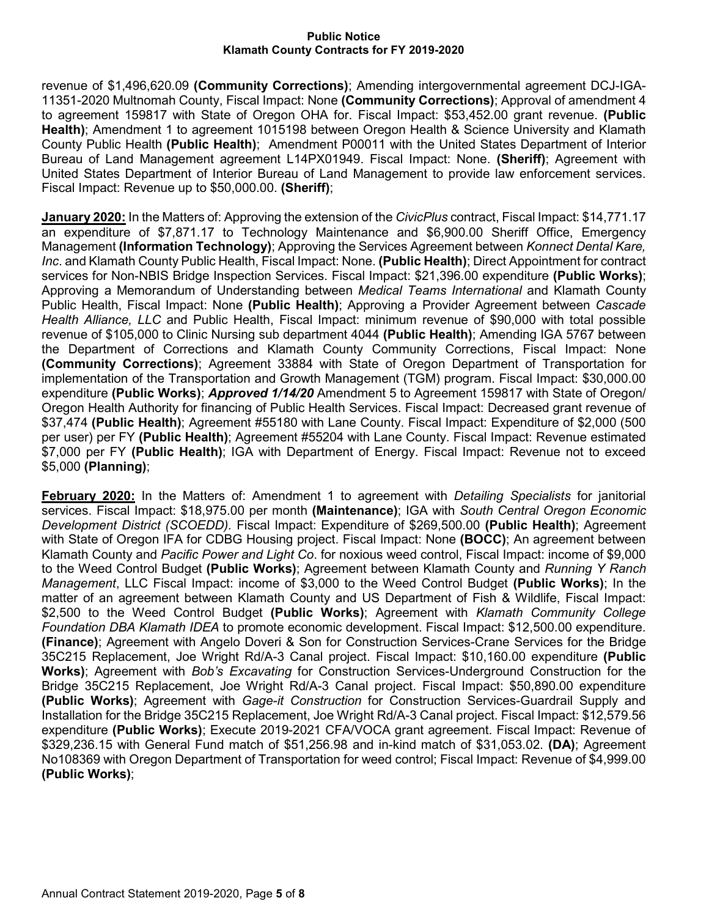revenue of \$1,496,620.09 **(Community Corrections)**; Amending intergovernmental agreement DCJ-IGA-11351-2020 Multnomah County, Fiscal Impact: None **(Community Corrections)**; Approval of amendment 4 to agreement 159817 with State of Oregon OHA for. Fiscal Impact: \$53,452.00 grant revenue. **(Public Health)**; Amendment 1 to agreement 1015198 between Oregon Health & Science University and Klamath County Public Health **(Public Health)**; Amendment P00011 with the United States Department of Interior Bureau of Land Management agreement L14PX01949. Fiscal Impact: None. **(Sheriff)**; Agreement with United States Department of Interior Bureau of Land Management to provide law enforcement services. Fiscal Impact: Revenue up to \$50,000.00. **(Sheriff)**;

**January 2020:** In the Matters of: Approving the extension of the *CivicPlus* contract, Fiscal Impact: \$14,771.17 an expenditure of \$7,871.17 to Technology Maintenance and \$6,900.00 Sheriff Office, Emergency Management **(Information Technology)**; Approving the Services Agreement between *Konnect Dental Kare, Inc*. and Klamath County Public Health, Fiscal Impact: None. **(Public Health)**; Direct Appointment for contract services for Non-NBIS Bridge Inspection Services. Fiscal Impact: \$21,396.00 expenditure **(Public Works)**; Approving a Memorandum of Understanding between *Medical Teams International* and Klamath County Public Health, Fiscal Impact: None **(Public Health)**; Approving a Provider Agreement between *Cascade Health Alliance, LLC* and Public Health, Fiscal Impact: minimum revenue of \$90,000 with total possible revenue of \$105,000 to Clinic Nursing sub department 4044 **(Public Health)**; Amending IGA 5767 between the Department of Corrections and Klamath County Community Corrections, Fiscal Impact: None **(Community Corrections)**; Agreement 33884 with State of Oregon Department of Transportation for implementation of the Transportation and Growth Management (TGM) program. Fiscal Impact: \$30,000.00 expenditure **(Public Works)**; *Approved 1/14/20* Amendment 5 to Agreement 159817 with State of Oregon/ Oregon Health Authority for financing of Public Health Services. Fiscal Impact: Decreased grant revenue of \$37,474 **(Public Health)**; Agreement #55180 with Lane County. Fiscal Impact: Expenditure of \$2,000 (500 per user) per FY **(Public Health)**; Agreement #55204 with Lane County. Fiscal Impact: Revenue estimated \$7,000 per FY **(Public Health)**; IGA with Department of Energy. Fiscal Impact: Revenue not to exceed \$5,000 **(Planning)**;

**February 2020:** In the Matters of: Amendment 1 to agreement with *Detailing Specialists* for janitorial services. Fiscal Impact: \$18,975.00 per month **(Maintenance)**; IGA with *South Central Oregon Economic Development District (SCOEDD).* Fiscal Impact: Expenditure of \$269,500.00 **(Public Health)**; Agreement with State of Oregon IFA for CDBG Housing project. Fiscal Impact: None **(BOCC)**; An agreement between Klamath County and *Pacific Power and Light Co*. for noxious weed control, Fiscal Impact: income of \$9,000 to the Weed Control Budget **(Public Works)**; Agreement between Klamath County and *Running Y Ranch Management*, LLC Fiscal Impact: income of \$3,000 to the Weed Control Budget **(Public Works)**; In the matter of an agreement between Klamath County and US Department of Fish & Wildlife, Fiscal Impact: \$2,500 to the Weed Control Budget **(Public Works)**; Agreement with *Klamath Community College Foundation DBA Klamath IDEA* to promote economic development. Fiscal Impact: \$12,500.00 expenditure. **(Finance)**; Agreement with Angelo Doveri & Son for Construction Services-Crane Services for the Bridge 35C215 Replacement, Joe Wright Rd/A-3 Canal project. Fiscal Impact: \$10,160.00 expenditure **(Public Works)**; Agreement with *Bob's Excavating* for Construction Services-Underground Construction for the Bridge 35C215 Replacement, Joe Wright Rd/A-3 Canal project. Fiscal Impact: \$50,890.00 expenditure **(Public Works)**; Agreement with *Gage-it Construction* for Construction Services-Guardrail Supply and Installation for the Bridge 35C215 Replacement, Joe Wright Rd/A-3 Canal project. Fiscal Impact: \$12,579.56 expenditure **(Public Works)**; Execute 2019-2021 CFA/VOCA grant agreement. Fiscal Impact: Revenue of \$329,236.15 with General Fund match of \$51,256.98 and in-kind match of \$31,053.02. **(DA)**; Agreement No108369 with Oregon Department of Transportation for weed control; Fiscal Impact: Revenue of \$4,999.00 **(Public Works)**;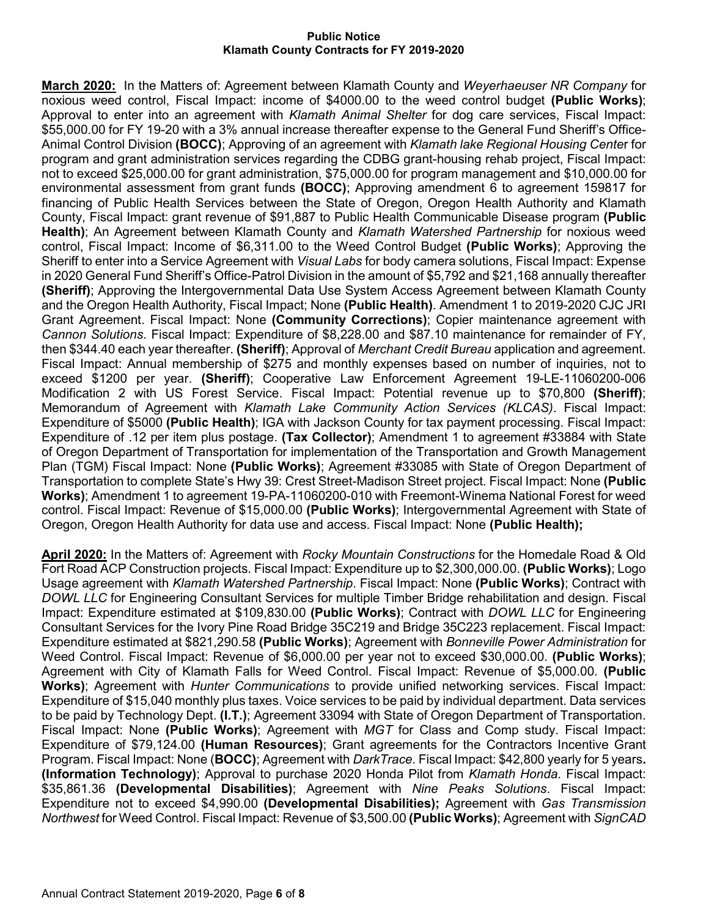**March 2020:** In the Matters of: Agreement between Klamath County and *Weyerhaeuser NR Company* for noxious weed control, Fiscal Impact: income of \$4000.00 to the weed control budget **(Public Works)**; Approval to enter into an agreement with *Klamath Animal Shelter* for dog care services, Fiscal Impact: \$55,000.00 for FY 19-20 with a 3% annual increase thereafter expense to the General Fund Sheriff's Office-Animal Control Division **(BOCC)**; Approving of an agreement with *Klamath lake Regional Housing Cente*r for program and grant administration services regarding the CDBG grant-housing rehab project, Fiscal Impact: not to exceed \$25,000.00 for grant administration, \$75,000.00 for program management and \$10,000.00 for environmental assessment from grant funds **(BOCC)**; Approving amendment 6 to agreement 159817 for financing of Public Health Services between the State of Oregon, Oregon Health Authority and Klamath County, Fiscal Impact: grant revenue of \$91,887 to Public Health Communicable Disease program **(Public Health)**; An Agreement between Klamath County and *Klamath Watershed Partnership* for noxious weed control, Fiscal Impact: Income of \$6,311.00 to the Weed Control Budget **(Public Works)**; Approving the Sheriff to enter into a Service Agreement with *Visual Labs* for body camera solutions, Fiscal Impact: Expense in 2020 General Fund Sheriff's Office-Patrol Division in the amount of \$5,792 and \$21,168 annually thereafter **(Sheriff)**; Approving the Intergovernmental Data Use System Access Agreement between Klamath County and the Oregon Health Authority, Fiscal Impact; None **(Public Health)**. Amendment 1 to 2019-2020 CJC JRI Grant Agreement. Fiscal Impact: None **(Community Corrections)**; Copier maintenance agreement with *Cannon Solutions*. Fiscal Impact: Expenditure of \$8,228.00 and \$87.10 maintenance for remainder of FY, then \$344.40 each year thereafter. **(Sheriff)**; Approval of *Merchant Credit Bureau* application and agreement. Fiscal Impact: Annual membership of \$275 and monthly expenses based on number of inquiries, not to exceed \$1200 per year. **(Sheriff)**; Cooperative Law Enforcement Agreement 19-LE-11060200-006 Modification 2 with US Forest Service. Fiscal Impact: Potential revenue up to \$70,800 **(Sheriff)**; Memorandum of Agreement with *Klamath Lake Community Action Services (KLCAS)*. Fiscal Impact: Expenditure of \$5000 **(Public Health)**; IGA with Jackson County for tax payment processing. Fiscal Impact: Expenditure of .12 per item plus postage. **(Tax Collector)**; Amendment 1 to agreement #33884 with State of Oregon Department of Transportation for implementation of the Transportation and Growth Management Plan (TGM) Fiscal Impact: None **(Public Works)**; Agreement #33085 with State of Oregon Department of Transportation to complete State's Hwy 39: Crest Street-Madison Street project. Fiscal Impact: None **(Public Works)**; Amendment 1 to agreement 19-PA-11060200-010 with Freemont-Winema National Forest for weed control. Fiscal Impact: Revenue of \$15,000.00 **(Public Works)**; Intergovernmental Agreement with State of Oregon, Oregon Health Authority for data use and access. Fiscal Impact: None **(Public Health);**

**April 2020:** In the Matters of: Agreement with *Rocky Mountain Constructions* for the Homedale Road & Old Fort Road ACP Construction projects. Fiscal Impact: Expenditure up to \$2,300,000.00. **(Public Works)**; Logo Usage agreement with *Klamath Watershed Partnership*. Fiscal Impact: None **(Public Works)**; Contract with *DOWL LLC* for Engineering Consultant Services for multiple Timber Bridge rehabilitation and design. Fiscal Impact: Expenditure estimated at \$109,830.00 **(Public Works)**; Contract with *DOWL LLC* for Engineering Consultant Services for the Ivory Pine Road Bridge 35C219 and Bridge 35C223 replacement. Fiscal Impact: Expenditure estimated at \$821,290.58 **(Public Works)**; Agreement with *Bonneville Power Administration* for Weed Control. Fiscal Impact: Revenue of \$6,000.00 per year not to exceed \$30,000.00. **(Public Works)**; Agreement with City of Klamath Falls for Weed Control. Fiscal Impact: Revenue of \$5,000.00. **(Public Works)**; Agreement with *Hunter Communications* to provide unified networking services. Fiscal Impact: Expenditure of \$15,040 monthly plus taxes. Voice services to be paid by individual department. Data services to be paid by Technology Dept. **(I.T.)**; Agreement 33094 with State of Oregon Department of Transportation. Fiscal Impact: None **(Public Works)**; Agreement with *MGT* for Class and Comp study. Fiscal Impact: Expenditure of \$79,124.00 **(Human Resources)**; Grant agreements for the Contractors Incentive Grant Program. Fiscal Impact: None (**BOCC)**; Agreement with *DarkTrace*. Fiscal Impact: \$42,800 yearly for 5 years**. (Information Technology)**; Approval to purchase 2020 Honda Pilot from *Klamath Honda*. Fiscal Impact: \$35,861.36 **(Developmental Disabilities)**; Agreement with *Nine Peaks Solutions*. Fiscal Impact: Expenditure not to exceed \$4,990.00 **(Developmental Disabilities);** Agreement with *Gas Transmission Northwest* for Weed Control. Fiscal Impact: Revenue of \$3,500.00 **(Public Works)**; Agreement with *SignCAD*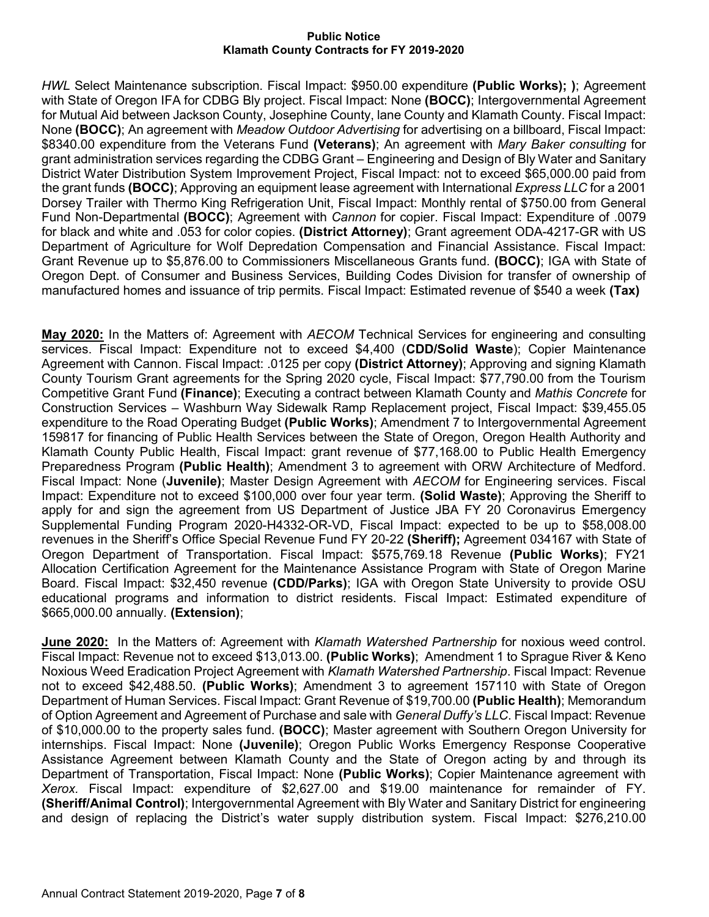*HWL* Select Maintenance subscription. Fiscal Impact: \$950.00 expenditure **(Public Works); )**; Agreement with State of Oregon IFA for CDBG Bly project. Fiscal Impact: None **(BOCC)**; Intergovernmental Agreement for Mutual Aid between Jackson County, Josephine County, lane County and Klamath County. Fiscal Impact: None **(BOCC)**; An agreement with *Meadow Outdoor Advertising* for advertising on a billboard, Fiscal Impact: \$8340.00 expenditure from the Veterans Fund **(Veterans)**; An agreement with *Mary Baker consulting* for grant administration services regarding the CDBG Grant – Engineering and Design of Bly Water and Sanitary District Water Distribution System Improvement Project, Fiscal Impact: not to exceed \$65,000.00 paid from the grant funds **(BOCC)**; Approving an equipment lease agreement with International *Express LLC* for a 2001 Dorsey Trailer with Thermo King Refrigeration Unit, Fiscal Impact: Monthly rental of \$750.00 from General Fund Non-Departmental **(BOCC)**; Agreement with *Cannon* for copier. Fiscal Impact: Expenditure of .0079 for black and white and .053 for color copies. **(District Attorney)**; Grant agreement ODA-4217-GR with US Department of Agriculture for Wolf Depredation Compensation and Financial Assistance. Fiscal Impact: Grant Revenue up to \$5,876.00 to Commissioners Miscellaneous Grants fund. **(BOCC)**; IGA with State of Oregon Dept. of Consumer and Business Services, Building Codes Division for transfer of ownership of manufactured homes and issuance of trip permits. Fiscal Impact: Estimated revenue of \$540 a week **(Tax)**

**May 2020:** In the Matters of: Agreement with *AECOM* Technical Services for engineering and consulting services. Fiscal Impact: Expenditure not to exceed \$4,400 (**CDD/Solid Waste**); Copier Maintenance Agreement with Cannon. Fiscal Impact: .0125 per copy **(District Attorney)**; Approving and signing Klamath County Tourism Grant agreements for the Spring 2020 cycle, Fiscal Impact: \$77,790.00 from the Tourism Competitive Grant Fund **(Finance)**; Executing a contract between Klamath County and *Mathis Concrete* for Construction Services – Washburn Way Sidewalk Ramp Replacement project, Fiscal Impact: \$39,455.05 expenditure to the Road Operating Budget **(Public Works)**; Amendment 7 to Intergovernmental Agreement 159817 for financing of Public Health Services between the State of Oregon, Oregon Health Authority and Klamath County Public Health, Fiscal Impact: grant revenue of \$77,168.00 to Public Health Emergency Preparedness Program **(Public Health)**; Amendment 3 to agreement with ORW Architecture of Medford. Fiscal Impact: None (**Juvenile)**; Master Design Agreement with *AECOM* for Engineering services. Fiscal Impact: Expenditure not to exceed \$100,000 over four year term. **(Solid Waste)**; Approving the Sheriff to apply for and sign the agreement from US Department of Justice JBA FY 20 Coronavirus Emergency Supplemental Funding Program 2020-H4332-OR-VD, Fiscal Impact: expected to be up to \$58,008.00 revenues in the Sheriff's Office Special Revenue Fund FY 20-22 **(Sheriff);** Agreement 034167 with State of Oregon Department of Transportation. Fiscal Impact: \$575,769.18 Revenue **(Public Works)**; FY21 Allocation Certification Agreement for the Maintenance Assistance Program with State of Oregon Marine Board. Fiscal Impact: \$32,450 revenue **(CDD/Parks)**; IGA with Oregon State University to provide OSU educational programs and information to district residents. Fiscal Impact: Estimated expenditure of \$665,000.00 annually. **(Extension)**;

**June 2020:** In the Matters of: Agreement with *Klamath Watershed Partnership* for noxious weed control. Fiscal Impact: Revenue not to exceed \$13,013.00. **(Public Works)**; Amendment 1 to Sprague River & Keno Noxious Weed Eradication Project Agreement with *Klamath Watershed Partnership*. Fiscal Impact: Revenue not to exceed \$42,488.50. **(Public Works)**; Amendment 3 to agreement 157110 with State of Oregon Department of Human Services. Fiscal Impact: Grant Revenue of \$19,700.00 **(Public Health)**; Memorandum of Option Agreement and Agreement of Purchase and sale with *General Duffy's LLC*. Fiscal Impact: Revenue of \$10,000.00 to the property sales fund. **(BOCC)**; Master agreement with Southern Oregon University for internships. Fiscal Impact: None **(Juvenile)**; Oregon Public Works Emergency Response Cooperative Assistance Agreement between Klamath County and the State of Oregon acting by and through its Department of Transportation, Fiscal Impact: None **(Public Works)**; Copier Maintenance agreement with *Xerox.* Fiscal Impact: expenditure of \$2,627.00 and \$19.00 maintenance for remainder of FY. **(Sheriff/Animal Control)**; Intergovernmental Agreement with Bly Water and Sanitary District for engineering and design of replacing the District's water supply distribution system. Fiscal Impact: \$276,210.00